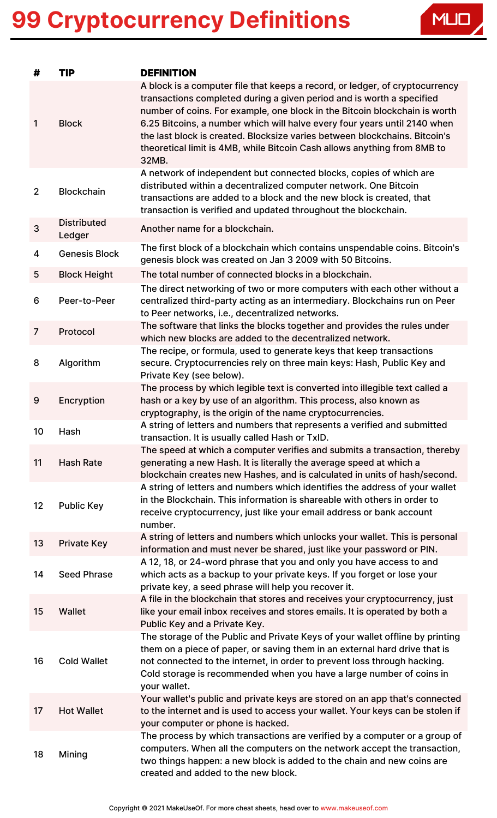

| #              | <b>TIP</b>                   | <b>DEFINITION</b>                                                                                                                                                                                                                                                                                                                                                                                                                                                                   |
|----------------|------------------------------|-------------------------------------------------------------------------------------------------------------------------------------------------------------------------------------------------------------------------------------------------------------------------------------------------------------------------------------------------------------------------------------------------------------------------------------------------------------------------------------|
| $\mathbf{1}$   | <b>Block</b>                 | A block is a computer file that keeps a record, or ledger, of cryptocurrency<br>transactions completed during a given period and is worth a specified<br>number of coins. For example, one block in the Bitcoin blockchain is worth<br>6.25 Bitcoins, a number which will halve every four years until 2140 when<br>the last block is created. Blocksize varies between blockchains. Bitcoin's<br>theoretical limit is 4MB, while Bitcoin Cash allows anything from 8MB to<br>32MB. |
| $\overline{2}$ | <b>Blockchain</b>            | A network of independent but connected blocks, copies of which are<br>distributed within a decentralized computer network. One Bitcoin<br>transactions are added to a block and the new block is created, that<br>transaction is verified and updated throughout the blockchain.                                                                                                                                                                                                    |
| $\mathbf{3}$   | <b>Distributed</b><br>Ledger | Another name for a blockchain.                                                                                                                                                                                                                                                                                                                                                                                                                                                      |
| 4              | <b>Genesis Block</b>         | The first block of a blockchain which contains unspendable coins. Bitcoin's<br>genesis block was created on Jan 3 2009 with 50 Bitcoins.                                                                                                                                                                                                                                                                                                                                            |
| 5              | <b>Block Height</b>          | The total number of connected blocks in a blockchain.                                                                                                                                                                                                                                                                                                                                                                                                                               |
| 6              | Peer-to-Peer                 | The direct networking of two or more computers with each other without a<br>centralized third-party acting as an intermediary. Blockchains run on Peer<br>to Peer networks, i.e., decentralized networks.                                                                                                                                                                                                                                                                           |
| $\overline{7}$ | Protocol                     | The software that links the blocks together and provides the rules under<br>which new blocks are added to the decentralized network.                                                                                                                                                                                                                                                                                                                                                |
| 8              | Algorithm                    | The recipe, or formula, used to generate keys that keep transactions<br>secure. Cryptocurrencies rely on three main keys: Hash, Public Key and<br>Private Key (see below).                                                                                                                                                                                                                                                                                                          |
| 9              | Encryption                   | The process by which legible text is converted into illegible text called a<br>hash or a key by use of an algorithm. This process, also known as<br>cryptography, is the origin of the name cryptocurrencies.                                                                                                                                                                                                                                                                       |
| 10             | Hash                         | A string of letters and numbers that represents a verified and submitted<br>transaction. It is usually called Hash or TxID.                                                                                                                                                                                                                                                                                                                                                         |
| 11             | <b>Hash Rate</b>             | The speed at which a computer verifies and submits a transaction, thereby<br>generating a new Hash. It is literally the average speed at which a<br>blockchain creates new Hashes, and is calculated in units of hash/second.                                                                                                                                                                                                                                                       |
| 12             | <b>Public Key</b>            | A string of letters and numbers which identifies the address of your wallet<br>in the Blockchain. This information is shareable with others in order to<br>receive cryptocurrency, just like your email address or bank account<br>number.                                                                                                                                                                                                                                          |
| 13             | <b>Private Key</b>           | A string of letters and numbers which unlocks your wallet. This is personal<br>information and must never be shared, just like your password or PIN.                                                                                                                                                                                                                                                                                                                                |
| 14             | <b>Seed Phrase</b>           | A 12, 18, or 24-word phrase that you and only you have access to and<br>which acts as a backup to your private keys. If you forget or lose your<br>private key, a seed phrase will help you recover it.                                                                                                                                                                                                                                                                             |
| 15             | Wallet                       | A file in the blockchain that stores and receives your cryptocurrency, just<br>like your email inbox receives and stores emails. It is operated by both a<br>Public Key and a Private Key.                                                                                                                                                                                                                                                                                          |
| 16             | <b>Cold Wallet</b>           | The storage of the Public and Private Keys of your wallet offline by printing<br>them on a piece of paper, or saving them in an external hard drive that is<br>not connected to the internet, in order to prevent loss through hacking.<br>Cold storage is recommended when you have a large number of coins in<br>your wallet.                                                                                                                                                     |
| 17             | <b>Hot Wallet</b>            | Your wallet's public and private keys are stored on an app that's connected<br>to the internet and is used to access your wallet. Your keys can be stolen if<br>your computer or phone is hacked.                                                                                                                                                                                                                                                                                   |
| 18             | Mining                       | The process by which transactions are verified by a computer or a group of<br>computers. When all the computers on the network accept the transaction,<br>two things happen: a new block is added to the chain and new coins are<br>created and added to the new block.                                                                                                                                                                                                             |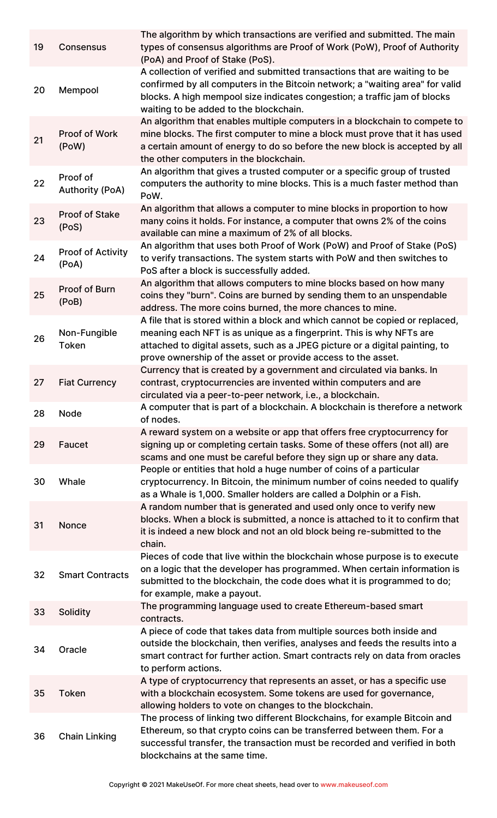| 19 | <b>Consensus</b>                   | The algorithm by which transactions are verified and submitted. The main<br>types of consensus algorithms are Proof of Work (PoW), Proof of Authority<br>(PoA) and Proof of Stake (PoS).                                                                                                             |
|----|------------------------------------|------------------------------------------------------------------------------------------------------------------------------------------------------------------------------------------------------------------------------------------------------------------------------------------------------|
| 20 | Mempool                            | A collection of verified and submitted transactions that are waiting to be<br>confirmed by all computers in the Bitcoin network; a "waiting area" for valid<br>blocks. A high mempool size indicates congestion; a traffic jam of blocks<br>waiting to be added to the blockchain.                   |
| 21 | Proof of Work<br>(PoW)             | An algorithm that enables multiple computers in a blockchain to compete to<br>mine blocks. The first computer to mine a block must prove that it has used<br>a certain amount of energy to do so before the new block is accepted by all<br>the other computers in the blockchain.                   |
| 22 | Proof of<br><b>Authority (PoA)</b> | An algorithm that gives a trusted computer or a specific group of trusted<br>computers the authority to mine blocks. This is a much faster method than<br>PoW.                                                                                                                                       |
| 23 | <b>Proof of Stake</b><br>(PoS)     | An algorithm that allows a computer to mine blocks in proportion to how<br>many coins it holds. For instance, a computer that owns 2% of the coins<br>available can mine a maximum of 2% of all blocks.                                                                                              |
| 24 | <b>Proof of Activity</b><br>(PoA)  | An algorithm that uses both Proof of Work (PoW) and Proof of Stake (PoS)<br>to verify transactions. The system starts with PoW and then switches to<br>PoS after a block is successfully added.                                                                                                      |
| 25 | Proof of Burn<br>(PoB)             | An algorithm that allows computers to mine blocks based on how many<br>coins they "burn". Coins are burned by sending them to an unspendable<br>address. The more coins burned, the more chances to mine.                                                                                            |
| 26 | Non-Fungible<br><b>Token</b>       | A file that is stored within a block and which cannot be copied or replaced,<br>meaning each NFT is as unique as a fingerprint. This is why NFTs are<br>attached to digital assets, such as a JPEG picture or a digital painting, to<br>prove ownership of the asset or provide access to the asset. |
| 27 | <b>Fiat Currency</b>               | Currency that is created by a government and circulated via banks. In<br>contrast, cryptocurrencies are invented within computers and are<br>circulated via a peer-to-peer network, i.e., a blockchain.                                                                                              |
| 28 | <b>Node</b>                        | A computer that is part of a blockchain. A blockchain is therefore a network<br>of nodes.                                                                                                                                                                                                            |
| 29 | Faucet                             | A reward system on a website or app that offers free cryptocurrency for<br>signing up or completing certain tasks. Some of these offers (not all) are<br>scams and one must be careful before they sign up or share any data.                                                                        |
| 30 | Whale                              | People or entities that hold a huge number of coins of a particular<br>cryptocurrency. In Bitcoin, the minimum number of coins needed to qualify<br>as a Whale is 1,000. Smaller holders are called a Dolphin or a Fish.                                                                             |
| 31 | Nonce                              | A random number that is generated and used only once to verify new<br>blocks. When a block is submitted, a nonce is attached to it to confirm that<br>it is indeed a new block and not an old block being re-submitted to the<br>chain.                                                              |
| 32 | <b>Smart Contracts</b>             | Pieces of code that live within the blockchain whose purpose is to execute<br>on a logic that the developer has programmed. When certain information is<br>submitted to the blockchain, the code does what it is programmed to do;<br>for example, make a payout.                                    |
| 33 | <b>Solidity</b>                    | The programming language used to create Ethereum-based smart<br>contracts.                                                                                                                                                                                                                           |
| 34 | Oracle                             | A piece of code that takes data from multiple sources both inside and<br>outside the blockchain, then verifies, analyses and feeds the results into a<br>smart contract for further action. Smart contracts rely on data from oracles<br>to perform actions.                                         |
| 35 | <b>Token</b>                       | A type of cryptocurrency that represents an asset, or has a specific use<br>with a blockchain ecosystem. Some tokens are used for governance,<br>allowing holders to vote on changes to the blockchain.                                                                                              |
| 36 | <b>Chain Linking</b>               | The process of linking two different Blockchains, for example Bitcoin and<br>Ethereum, so that crypto coins can be transferred between them. For a<br>successful transfer, the transaction must be recorded and verified in both<br>blockchains at the same time.                                    |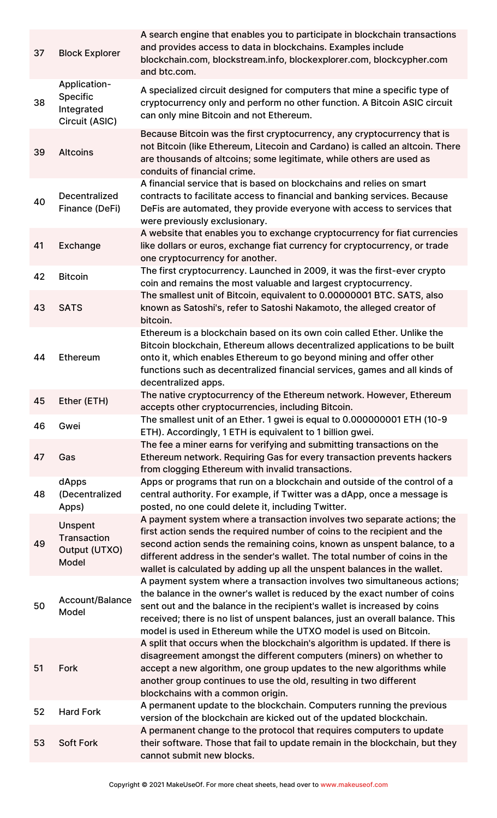| 37 | <b>Block Explorer</b>                                           | A search engine that enables you to participate in blockchain transactions<br>and provides access to data in blockchains. Examples include<br>blockchain.com, blockstream.info, blockexplorer.com, blockcypher.com<br>and btc.com.                                                                                                                                                        |
|----|-----------------------------------------------------------------|-------------------------------------------------------------------------------------------------------------------------------------------------------------------------------------------------------------------------------------------------------------------------------------------------------------------------------------------------------------------------------------------|
| 38 | Application-<br><b>Specific</b><br>Integrated<br>Circuit (ASIC) | A specialized circuit designed for computers that mine a specific type of<br>cryptocurrency only and perform no other function. A Bitcoin ASIC circuit<br>can only mine Bitcoin and not Ethereum.                                                                                                                                                                                         |
| 39 | <b>Altcoins</b>                                                 | Because Bitcoin was the first cryptocurrency, any cryptocurrency that is<br>not Bitcoin (like Ethereum, Litecoin and Cardano) is called an altcoin. There<br>are thousands of altcoins; some legitimate, while others are used as<br>conduits of financial crime.                                                                                                                         |
| 40 | Decentralized<br>Finance (DeFi)                                 | A financial service that is based on blockchains and relies on smart<br>contracts to facilitate access to financial and banking services. Because<br>DeFis are automated, they provide everyone with access to services that<br>were previously exclusionary.                                                                                                                             |
| 41 | Exchange                                                        | A website that enables you to exchange cryptocurrency for fiat currencies<br>like dollars or euros, exchange fiat currency for cryptocurrency, or trade<br>one cryptocurrency for another.                                                                                                                                                                                                |
| 42 | <b>Bitcoin</b>                                                  | The first cryptocurrency. Launched in 2009, it was the first-ever crypto<br>coin and remains the most valuable and largest cryptocurrency.                                                                                                                                                                                                                                                |
| 43 | <b>SATS</b>                                                     | The smallest unit of Bitcoin, equivalent to 0.00000001 BTC. SATS, also<br>known as Satoshi's, refer to Satoshi Nakamoto, the alleged creator of<br>bitcoin.                                                                                                                                                                                                                               |
| 44 | Ethereum                                                        | Ethereum is a blockchain based on its own coin called Ether. Unlike the<br>Bitcoin blockchain, Ethereum allows decentralized applications to be built<br>onto it, which enables Ethereum to go beyond mining and offer other<br>functions such as decentralized financial services, games and all kinds of<br>decentralized apps.                                                         |
| 45 | Ether (ETH)                                                     | The native cryptocurrency of the Ethereum network. However, Ethereum<br>accepts other cryptocurrencies, including Bitcoin.                                                                                                                                                                                                                                                                |
| 46 | Gwei                                                            | The smallest unit of an Ether. 1 gwei is equal to 0.000000001 ETH (10-9<br>ETH). Accordingly, 1 ETH is equivalent to 1 billion gwei.                                                                                                                                                                                                                                                      |
| 47 | Gas                                                             | The fee a miner earns for verifying and submitting transactions on the<br>Ethereum network. Requiring Gas for every transaction prevents hackers<br>from clogging Ethereum with invalid transactions.                                                                                                                                                                                     |
| 48 | dApps<br>(Decentralized<br>Apps)                                | Apps or programs that run on a blockchain and outside of the control of a<br>central authority. For example, if Twitter was a dApp, once a message is<br>posted, no one could delete it, including Twitter.                                                                                                                                                                               |
| 49 | Unspent<br><b>Transaction</b><br>Output (UTXO)<br>Model         | A payment system where a transaction involves two separate actions; the<br>first action sends the required number of coins to the recipient and the<br>second action sends the remaining coins, known as unspent balance, to a<br>different address in the sender's wallet. The total number of coins in the<br>wallet is calculated by adding up all the unspent balances in the wallet. |
| 50 | Account/Balance<br>Model                                        | A payment system where a transaction involves two simultaneous actions;<br>the balance in the owner's wallet is reduced by the exact number of coins<br>sent out and the balance in the recipient's wallet is increased by coins<br>received; there is no list of unspent balances, just an overall balance. This<br>model is used in Ethereum while the UTXO model is used on Bitcoin.   |
| 51 | Fork                                                            | A split that occurs when the blockchain's algorithm is updated. If there is<br>disagreement amongst the different computers (miners) on whether to<br>accept a new algorithm, one group updates to the new algorithms while<br>another group continues to use the old, resulting in two different<br>blockchains with a common origin.                                                    |
| 52 | <b>Hard Fork</b>                                                | A permanent update to the blockchain. Computers running the previous<br>version of the blockchain are kicked out of the updated blockchain.                                                                                                                                                                                                                                               |
| 53 | <b>Soft Fork</b>                                                | A permanent change to the protocol that requires computers to update<br>their software. Those that fail to update remain in the blockchain, but they<br>cannot submit new blocks.                                                                                                                                                                                                         |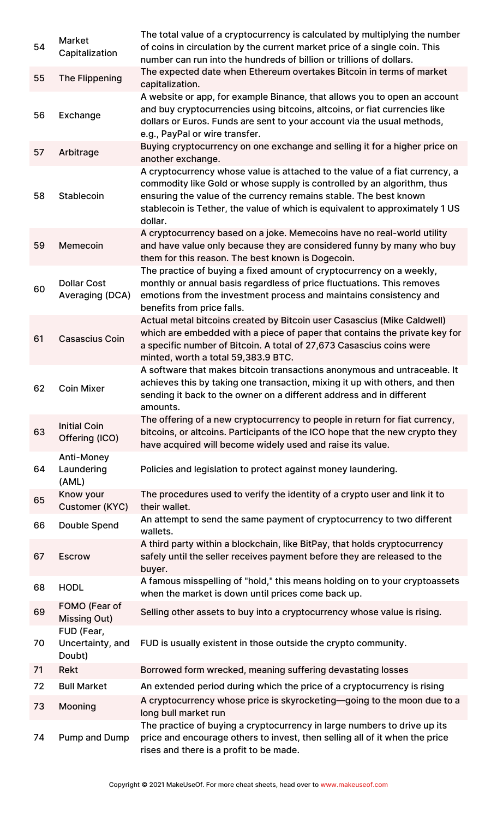| 54 | <b>Market</b><br>Capitalization          | The total value of a cryptocurrency is calculated by multiplying the number<br>of coins in circulation by the current market price of a single coin. This<br>number can run into the hundreds of billion or trillions of dollars.                                                                                      |
|----|------------------------------------------|------------------------------------------------------------------------------------------------------------------------------------------------------------------------------------------------------------------------------------------------------------------------------------------------------------------------|
| 55 | <b>The Flippening</b>                    | The expected date when Ethereum overtakes Bitcoin in terms of market<br>capitalization.                                                                                                                                                                                                                                |
| 56 | Exchange                                 | A website or app, for example Binance, that allows you to open an account<br>and buy cryptocurrencies using bitcoins, altcoins, or fiat currencies like<br>dollars or Euros. Funds are sent to your account via the usual methods,<br>e.g., PayPal or wire transfer.                                                   |
| 57 | Arbitrage                                | Buying cryptocurrency on one exchange and selling it for a higher price on<br>another exchange.                                                                                                                                                                                                                        |
| 58 | Stablecoin                               | A cryptocurrency whose value is attached to the value of a fiat currency, a<br>commodity like Gold or whose supply is controlled by an algorithm, thus<br>ensuring the value of the currency remains stable. The best known<br>stablecoin is Tether, the value of which is equivalent to approximately 1 US<br>dollar. |
| 59 | Memecoin                                 | A cryptocurrency based on a joke. Memecoins have no real-world utility<br>and have value only because they are considered funny by many who buy<br>them for this reason. The best known is Dogecoin.                                                                                                                   |
| 60 | <b>Dollar Cost</b><br>Averaging (DCA)    | The practice of buying a fixed amount of cryptocurrency on a weekly,<br>monthly or annual basis regardless of price fluctuations. This removes<br>emotions from the investment process and maintains consistency and<br>benefits from price falls.                                                                     |
| 61 | <b>Casascius Coin</b>                    | Actual metal bitcoins created by Bitcoin user Casascius (Mike Caldwell)<br>which are embedded with a piece of paper that contains the private key for<br>a specific number of Bitcoin. A total of 27,673 Casascius coins were<br>minted, worth a total 59,383.9 BTC.                                                   |
| 62 | <b>Coin Mixer</b>                        | A software that makes bitcoin transactions anonymous and untraceable. It<br>achieves this by taking one transaction, mixing it up with others, and then<br>sending it back to the owner on a different address and in different<br>amounts.                                                                            |
| 63 | <b>Initial Coin</b><br>Offering (ICO)    | The offering of a new cryptocurrency to people in return for fiat currency,<br>bitcoins, or altcoins. Participants of the ICO hope that the new crypto they<br>have acquired will become widely used and raise its value.                                                                                              |
| 64 | Anti-Money<br>Laundering<br>(AML)        | Policies and legislation to protect against money laundering.                                                                                                                                                                                                                                                          |
| 65 | Know your<br>Customer (KYC)              | The procedures used to verify the identity of a crypto user and link it to<br>their wallet.                                                                                                                                                                                                                            |
| 66 | <b>Double Spend</b>                      | An attempt to send the same payment of cryptocurrency to two different<br>wallets.                                                                                                                                                                                                                                     |
| 67 | <b>Escrow</b>                            | A third party within a blockchain, like BitPay, that holds cryptocurrency<br>safely until the seller receives payment before they are released to the<br>buyer.                                                                                                                                                        |
| 68 | <b>HODL</b>                              | A famous misspelling of "hold," this means holding on to your cryptoassets<br>when the market is down until prices come back up.                                                                                                                                                                                       |
| 69 | FOMO (Fear of<br><b>Missing Out)</b>     | Selling other assets to buy into a cryptocurrency whose value is rising.                                                                                                                                                                                                                                               |
| 70 | FUD (Fear,<br>Uncertainty, and<br>Doubt) | FUD is usually existent in those outside the crypto community.                                                                                                                                                                                                                                                         |
| 71 | Rekt                                     | Borrowed form wrecked, meaning suffering devastating losses                                                                                                                                                                                                                                                            |
| 72 | <b>Bull Market</b>                       | An extended period during which the price of a cryptocurrency is rising                                                                                                                                                                                                                                                |
| 73 | Mooning                                  | A cryptocurrency whose price is skyrocketing—going to the moon due to a<br>long bull market run                                                                                                                                                                                                                        |
| 74 | Pump and Dump                            | The practice of buying a cryptocurrency in large numbers to drive up its<br>price and encourage others to invest, then selling all of it when the price<br>rises and there is a profit to be made.                                                                                                                     |